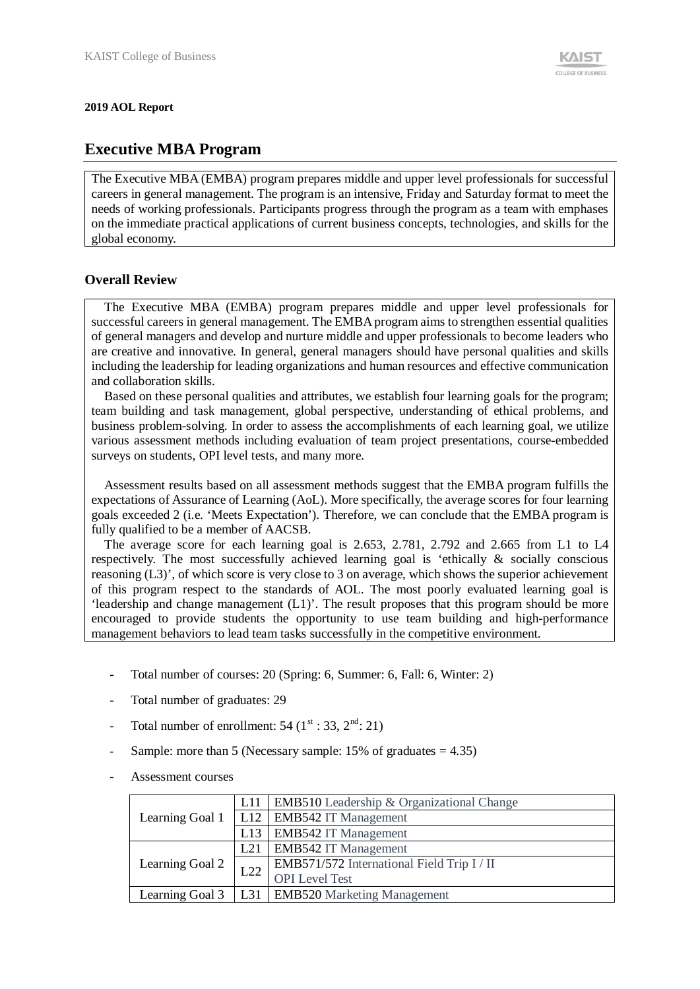#### **2019 AOL Report**

# **Executive MBA Program**

The Executive MBA (EMBA) program prepares middle and upper level professionals for successful careers in general management. The program is an intensive, Friday and Saturday format to meet the needs of working professionals. Participants progress through the program as a team with emphases on the immediate practical applications of current business concepts, technologies, and skills for the global economy.

### **Overall Review**

The Executive MBA (EMBA) program prepares middle and upper level professionals for successful careers in general management. The EMBA program aims to strengthen essential qualities of general managers and develop and nurture middle and upper professionals to become leaders who are creative and innovative. In general, general managers should have personal qualities and skills including the leadership for leading organizations and human resources and effective communication and collaboration skills.

Based on these personal qualities and attributes, we establish four learning goals for the program; team building and task management, global perspective, understanding of ethical problems, and business problem-solving. In order to assess the accomplishments of each learning goal, we utilize various assessment methods including evaluation of team project presentations, course-embedded surveys on students, OPI level tests, and many more.

Assessment results based on all assessment methods suggest that the EMBA program fulfills the expectations of Assurance of Learning (AoL). More specifically, the average scores for four learning goals exceeded 2 (i.e. 'Meets Expectation'). Therefore, we can conclude that the EMBA program is fully qualified to be a member of AACSB.

The average score for each learning goal is 2.653, 2.781, 2.792 and 2.665 from L1 to L4 respectively. The most successfully achieved learning goal is 'ethically & socially conscious reasoning (L3)', of which score is very close to 3 on average, which shows the superior achievement of this program respect to the standards of AOL. The most poorly evaluated learning goal is 'leadership and change management (L1)'. The result proposes that this program should be more encouraged to provide students the opportunity to use team building and high-performance management behaviors to lead team tasks successfully in the competitive environment.

- Total number of courses: 20 (Spring: 6, Summer: 6, Fall: 6, Winter: 2)
- Total number of graduates: 29
- Total number of enrollment: 54  $(1^{\text{st}}: 33, 2^{\text{nd}}: 21)$
- Sample: more than 5 (Necessary sample:  $15\%$  of graduates = 4.35)
- Assessment courses

|                 | L11 | <b>EMB510</b> Leadership & Organizational Change |  |  |  |  |
|-----------------|-----|--------------------------------------------------|--|--|--|--|
| Learning Goal 1 |     | L12   EMB542 IT Management                       |  |  |  |  |
|                 |     | L13   EMB542 IT Management                       |  |  |  |  |
|                 | L21 | <b>EMB542 IT Management</b>                      |  |  |  |  |
| Learning Goal 2 | L22 | EMB571/572 International Field Trip I / II       |  |  |  |  |
|                 |     | <b>OPI</b> Level Test                            |  |  |  |  |
| Learning Goal 3 |     | L31   EMB520 Marketing Management                |  |  |  |  |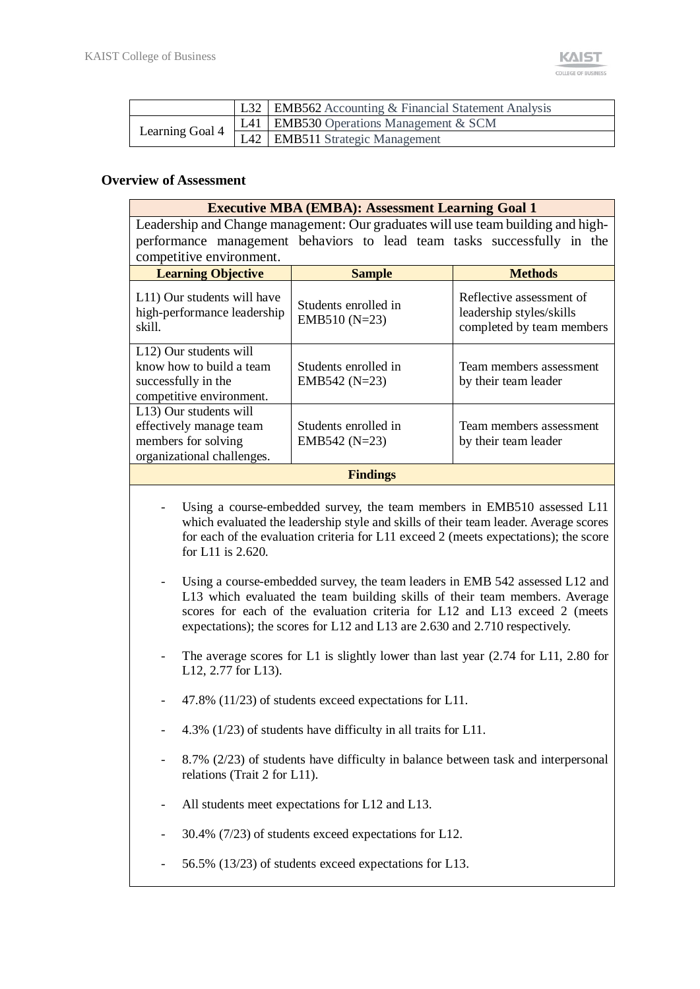|                 | L32   EMB562 Accounting & Financial Statement Analysis |
|-----------------|--------------------------------------------------------|
| Learning Goal 4 | L41   EMB530 Operations Management & SCM               |
|                 | L42 EMB511 Strategic Management                        |

### **Overview of Assessment**

| <b>Executive MBA (EMBA): Assessment Learning Goal 1</b>                                                |                                         |                                                                                   |  |  |  |  |  |  |
|--------------------------------------------------------------------------------------------------------|-----------------------------------------|-----------------------------------------------------------------------------------|--|--|--|--|--|--|
| Leadership and Change management: Our graduates will use team building and high-                       |                                         |                                                                                   |  |  |  |  |  |  |
|                                                                                                        |                                         |                                                                                   |  |  |  |  |  |  |
| performance management behaviors to lead team tasks successfully in the                                |                                         |                                                                                   |  |  |  |  |  |  |
| competitive environment.                                                                               |                                         |                                                                                   |  |  |  |  |  |  |
| <b>Learning Objective</b><br><b>Methods</b><br><b>Sample</b>                                           |                                         |                                                                                   |  |  |  |  |  |  |
| L11) Our students will have<br>high-performance leadership<br>skill.                                   | Students enrolled in<br>EMB510 $(N=23)$ | Reflective assessment of<br>leadership styles/skills<br>completed by team members |  |  |  |  |  |  |
| L12) Our students will<br>know how to build a team<br>successfully in the<br>competitive environment.  | Students enrolled in<br>EMB542 $(N=23)$ | Team members assessment<br>by their team leader                                   |  |  |  |  |  |  |
| L13) Our students will<br>effectively manage team<br>members for solving<br>organizational challenges. | Students enrolled in<br>EMB542 $(N=23)$ | Team members assessment<br>by their team leader                                   |  |  |  |  |  |  |
|                                                                                                        | <b>Findings</b>                         |                                                                                   |  |  |  |  |  |  |
|                                                                                                        |                                         |                                                                                   |  |  |  |  |  |  |

- Using a course-embedded survey, the team members in EMB510 assessed L11 which evaluated the leadership style and skills of their team leader. Average scores for each of the evaluation criteria for L11 exceed 2 (meets expectations); the score for L11 is 2.620.
- Using a course-embedded survey, the team leaders in EMB 542 assessed L12 and L13 which evaluated the team building skills of their team members. Average scores for each of the evaluation criteria for L12 and L13 exceed 2 (meets expectations); the scores for L12 and L13 are 2.630 and 2.710 respectively.
- The average scores for L1 is slightly lower than last year (2.74 for L11, 2.80 for L12, 2.77 for L13).
- 47.8% (11/23) of students exceed expectations for L11.
- 4.3% (1/23) of students have difficulty in all traits for L11.
- 8.7% (2/23) of students have difficulty in balance between task and interpersonal relations (Trait 2 for L11).
- All students meet expectations for L12 and L13.
- 30.4% (7/23) of students exceed expectations for L12.
- 56.5% (13/23) of students exceed expectations for L13.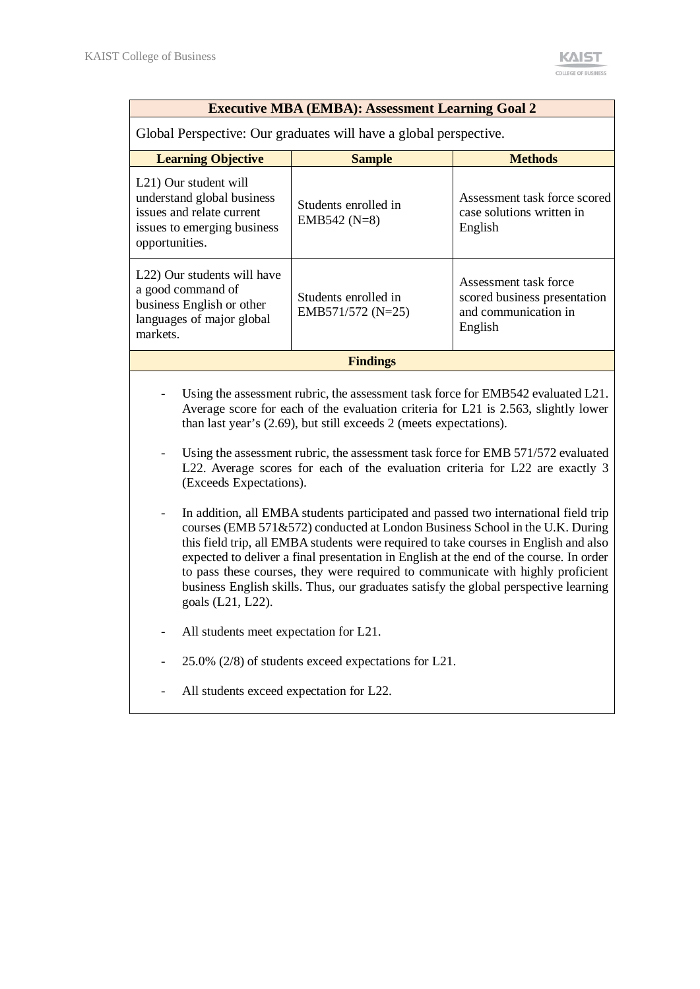| <b>Executive MBA (EMBA): Assessment Learning Goal 2</b>                                                                                                                                                                                                                                                                                                                                                                                                                                                                                                                                                                                                                                                                                                                                                                                                                                                                                                                                               |                                                      |                                                                                          |  |  |  |  |
|-------------------------------------------------------------------------------------------------------------------------------------------------------------------------------------------------------------------------------------------------------------------------------------------------------------------------------------------------------------------------------------------------------------------------------------------------------------------------------------------------------------------------------------------------------------------------------------------------------------------------------------------------------------------------------------------------------------------------------------------------------------------------------------------------------------------------------------------------------------------------------------------------------------------------------------------------------------------------------------------------------|------------------------------------------------------|------------------------------------------------------------------------------------------|--|--|--|--|
| Global Perspective: Our graduates will have a global perspective.                                                                                                                                                                                                                                                                                                                                                                                                                                                                                                                                                                                                                                                                                                                                                                                                                                                                                                                                     |                                                      |                                                                                          |  |  |  |  |
| <b>Learning Objective</b>                                                                                                                                                                                                                                                                                                                                                                                                                                                                                                                                                                                                                                                                                                                                                                                                                                                                                                                                                                             | <b>Sample</b>                                        | <b>Methods</b>                                                                           |  |  |  |  |
| L <sub>21</sub> ) Our student will<br>understand global business<br>issues and relate current<br>issues to emerging business<br>opportunities.                                                                                                                                                                                                                                                                                                                                                                                                                                                                                                                                                                                                                                                                                                                                                                                                                                                        | Students enrolled in<br>EMB542 $(N=8)$               | Assessment task force scored<br>case solutions written in<br>English                     |  |  |  |  |
| L <sub>22</sub> ) Our students will have<br>a good command of<br>business English or other<br>languages of major global<br>markets.                                                                                                                                                                                                                                                                                                                                                                                                                                                                                                                                                                                                                                                                                                                                                                                                                                                                   | Students enrolled in<br>EMB571/572 (N=25)            | Assessment task force<br>scored business presentation<br>and communication in<br>English |  |  |  |  |
|                                                                                                                                                                                                                                                                                                                                                                                                                                                                                                                                                                                                                                                                                                                                                                                                                                                                                                                                                                                                       | <b>Findings</b>                                      |                                                                                          |  |  |  |  |
| Using the assessment rubric, the assessment task force for EMB542 evaluated L21.<br>Average score for each of the evaluation criteria for L21 is 2.563, slightly lower<br>than last year's (2.69), but still exceeds 2 (meets expectations).<br>Using the assessment rubric, the assessment task force for EMB 571/572 evaluated<br>L22. Average scores for each of the evaluation criteria for L22 are exactly 3<br>(Exceeds Expectations).<br>In addition, all EMBA students participated and passed two international field trip<br>courses (EMB 571&572) conducted at London Business School in the U.K. During<br>this field trip, all EMBA students were required to take courses in English and also<br>expected to deliver a final presentation in English at the end of the course. In order<br>to pass these courses, they were required to communicate with highly proficient<br>business English skills. Thus, our graduates satisfy the global perspective learning<br>goals (L21, L22). |                                                      |                                                                                          |  |  |  |  |
|                                                                                                                                                                                                                                                                                                                                                                                                                                                                                                                                                                                                                                                                                                                                                                                                                                                                                                                                                                                                       | All students meet expectation for L21.               |                                                                                          |  |  |  |  |
|                                                                                                                                                                                                                                                                                                                                                                                                                                                                                                                                                                                                                                                                                                                                                                                                                                                                                                                                                                                                       | 25.0% (2/8) of students exceed expectations for L21. |                                                                                          |  |  |  |  |
| All students exceed expectation for L22.                                                                                                                                                                                                                                                                                                                                                                                                                                                                                                                                                                                                                                                                                                                                                                                                                                                                                                                                                              |                                                      |                                                                                          |  |  |  |  |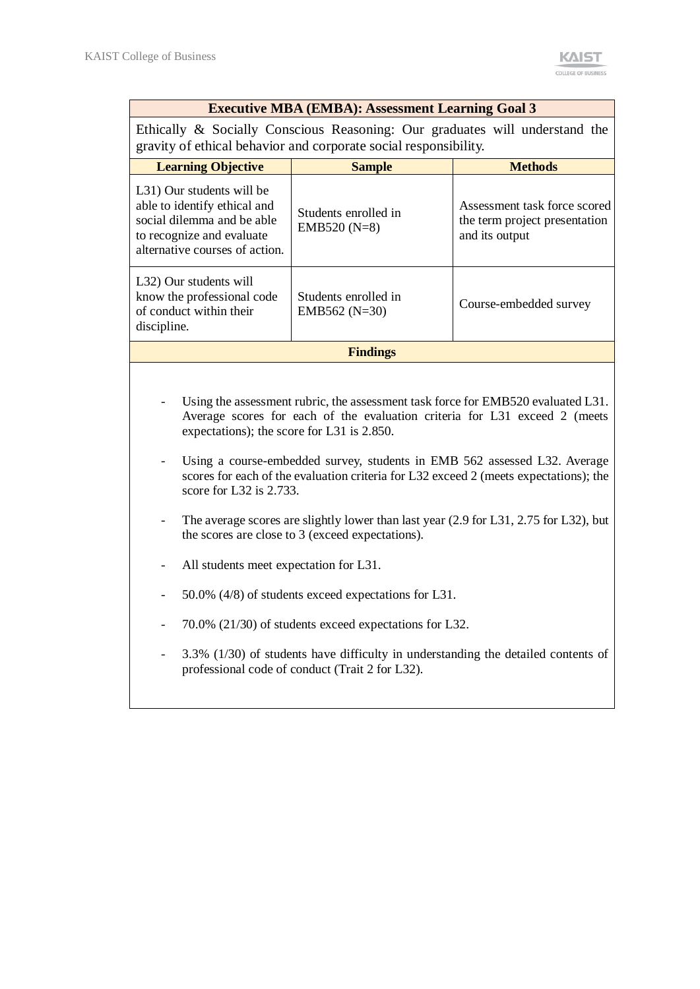| <b>Executive MBA (EMBA): Assessment Learning Goal 3</b> |  |
|---------------------------------------------------------|--|
|---------------------------------------------------------|--|

Ethically & Socially Conscious Reasoning: Our graduates will understand the gravity of ethical behavior and corporate social responsibility.

| <b>Learning Objective</b>                                                                                                                              | <b>Sample</b>                           | <b>Methods</b>                                                                  |  |  |  |  |  |
|--------------------------------------------------------------------------------------------------------------------------------------------------------|-----------------------------------------|---------------------------------------------------------------------------------|--|--|--|--|--|
| L31) Our students will be<br>able to identify ethical and<br>social dilemma and be able<br>to recognize and evaluate<br>alternative courses of action. | Students enrolled in<br>EMB520 $(N=8)$  | Assessment task force scored<br>the term project presentation<br>and its output |  |  |  |  |  |
| L32) Our students will<br>know the professional code<br>of conduct within their<br>discipline.                                                         | Students enrolled in<br>EMB562 $(N=30)$ | Course-embedded survey                                                          |  |  |  |  |  |
| <b>Findings</b>                                                                                                                                        |                                         |                                                                                 |  |  |  |  |  |

- Using the assessment rubric, the assessment task force for EMB520 evaluated L31. Average scores for each of the evaluation criteria for L31 exceed 2 (meets expectations); the score for L31 is 2.850.
- Using a course-embedded survey, students in EMB 562 assessed L32. Average scores for each of the evaluation criteria for L32 exceed 2 (meets expectations); the score for L32 is 2.733.
- The average scores are slightly lower than last year (2.9 for L31, 2.75 for L32), but the scores are close to 3 (exceed expectations).
- All students meet expectation for L31.
- 50.0% (4/8) of students exceed expectations for L31.
- 70.0% (21/30) of students exceed expectations for L32.
- 3.3% (1/30) of students have difficulty in understanding the detailed contents of professional code of conduct (Trait 2 for L32).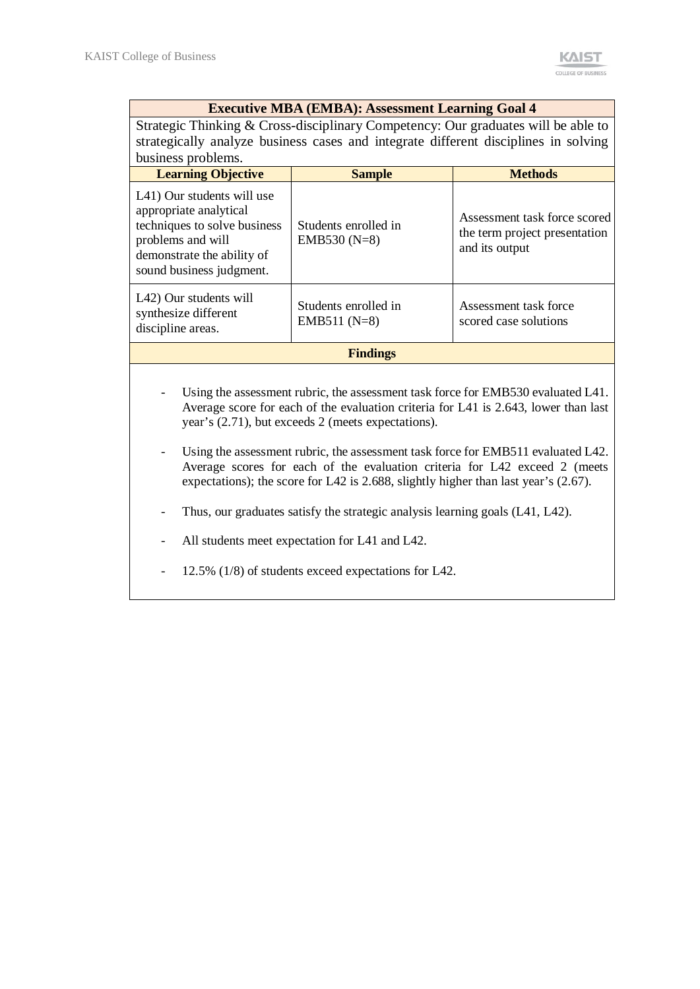#### **Executive MBA (EMBA): Assessment Learning Goal 4**

Strategic Thinking & Cross-disciplinary Competency: Our graduates will be able to strategically analyze business cases and integrate different disciplines in solving business problems.

| <b>Learning Objective</b>                                                                                                                                           | <b>Sample</b>                          | <b>Methods</b>                                                                  |  |  |  |  |
|---------------------------------------------------------------------------------------------------------------------------------------------------------------------|----------------------------------------|---------------------------------------------------------------------------------|--|--|--|--|
| L41) Our students will use<br>appropriate analytical<br>techniques to solve business<br>problems and will<br>demonstrate the ability of<br>sound business judgment. | Students enrolled in<br>EMB530 $(N=8)$ | Assessment task force scored<br>the term project presentation<br>and its output |  |  |  |  |
| L42) Our students will<br>synthesize different<br>discipline areas.                                                                                                 | Students enrolled in<br>EMB511 $(N=8)$ | Assessment task force<br>scored case solutions                                  |  |  |  |  |
| <b>Findings</b>                                                                                                                                                     |                                        |                                                                                 |  |  |  |  |

- Using the assessment rubric, the assessment task force for EMB530 evaluated L41. Average score for each of the evaluation criteria for L41 is 2.643, lower than last year's (2.71), but exceeds 2 (meets expectations).
- Using the assessment rubric, the assessment task force for EMB511 evaluated L42. Average scores for each of the evaluation criteria for L42 exceed 2 (meets expectations); the score for L42 is 2.688, slightly higher than last year's (2.67).
- Thus, our graduates satisfy the strategic analysis learning goals (L41, L42).
- All students meet expectation for L41 and L42.

- 12.5% (1/8) of students exceed expectations for L42.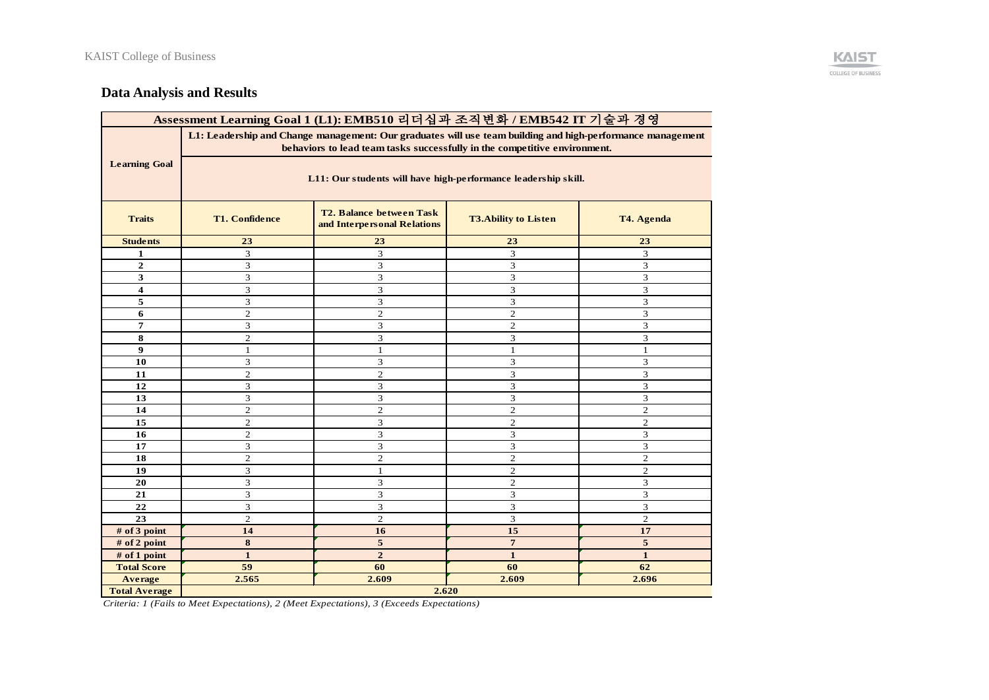

# **Data Analysis and Results**

| Assessment Learning Goal 1 (L1): EMB510 리더십과 조직변화 / EMB542 IT 기술과 경영 |                                                                                                                                                                                         |                |                |                             |  |  |  |  |  |
|----------------------------------------------------------------------|-----------------------------------------------------------------------------------------------------------------------------------------------------------------------------------------|----------------|----------------|-----------------------------|--|--|--|--|--|
|                                                                      | L1: Leadership and Change management: Our graduates will use team building and high-performance management<br>behaviors to lead team tasks successfully in the competitive environment. |                |                |                             |  |  |  |  |  |
| <b>Learning Goal</b>                                                 | L11: Our students will have high-performance leadership skill.                                                                                                                          |                |                |                             |  |  |  |  |  |
| <b>Traits</b>                                                        | <b>T2. Balance between Task</b><br><b>T1. Confidence</b><br><b>T3.Ability to Listen</b><br>T4. Agenda<br>and Interpersonal Relations                                                    |                |                |                             |  |  |  |  |  |
| <b>Students</b>                                                      | 23                                                                                                                                                                                      | 23             | 23             | 23                          |  |  |  |  |  |
| 1                                                                    | $\ensuremath{\mathfrak{Z}}$                                                                                                                                                             | 3              | 3              | $\mathfrak{Z}$              |  |  |  |  |  |
| $\mathbf{2}$                                                         | 3                                                                                                                                                                                       | 3              | 3              | 3                           |  |  |  |  |  |
| 3                                                                    | 3                                                                                                                                                                                       | 3              | 3              | 3                           |  |  |  |  |  |
| 4                                                                    | 3                                                                                                                                                                                       | 3              | 3              | 3                           |  |  |  |  |  |
| 5                                                                    | 3                                                                                                                                                                                       | 3              | 3              | $\mathfrak{Z}$              |  |  |  |  |  |
| 6                                                                    | $\overline{c}$                                                                                                                                                                          | $\overline{c}$ | $\overline{c}$ | 3                           |  |  |  |  |  |
| 7                                                                    | 3                                                                                                                                                                                       | 3              | $\overline{c}$ | 3                           |  |  |  |  |  |
| 8                                                                    | $\overline{c}$                                                                                                                                                                          | 3              | 3              | 3                           |  |  |  |  |  |
| 9                                                                    | $\mathbf{1}$                                                                                                                                                                            | $\mathbf{1}$   | $\mathbf{1}$   | $\mathbf{1}$                |  |  |  |  |  |
| 10                                                                   | 3                                                                                                                                                                                       | 3              | 3              | 3                           |  |  |  |  |  |
| 11                                                                   | $\overline{c}$                                                                                                                                                                          | $\mathbf{2}$   | 3              | 3                           |  |  |  |  |  |
| 12                                                                   | 3                                                                                                                                                                                       | 3              | 3              | 3                           |  |  |  |  |  |
| 13                                                                   | $\ensuremath{\mathfrak{Z}}$                                                                                                                                                             | 3              | 3              | $\mathfrak{Z}$              |  |  |  |  |  |
| 14                                                                   | $\overline{2}$                                                                                                                                                                          | $\overline{2}$ | $\overline{2}$ | $\overline{2}$              |  |  |  |  |  |
| 15                                                                   | $\overline{c}$                                                                                                                                                                          | 3              | $\mathfrak{2}$ | $\mathbf{2}$                |  |  |  |  |  |
| 16                                                                   | $\overline{c}$                                                                                                                                                                          | 3              | 3              | $\mathfrak{Z}$              |  |  |  |  |  |
| 17                                                                   | 3                                                                                                                                                                                       | 3              | 3              | 3                           |  |  |  |  |  |
| 18                                                                   | $\overline{c}$                                                                                                                                                                          | $\overline{c}$ | $\overline{c}$ | $\mathbf{2}$                |  |  |  |  |  |
| 19                                                                   | 3                                                                                                                                                                                       | $\mathbf{1}$   | $\mathbf{2}$   | $\overline{2}$              |  |  |  |  |  |
| 20                                                                   | 3                                                                                                                                                                                       | 3              | $\sqrt{2}$     | $\ensuremath{\mathfrak{Z}}$ |  |  |  |  |  |
| 21                                                                   | 3                                                                                                                                                                                       | 3              | 3              | 3                           |  |  |  |  |  |
| 22                                                                   | 3                                                                                                                                                                                       | 3              | 3              | 3                           |  |  |  |  |  |
| 23                                                                   | $\overline{c}$                                                                                                                                                                          | $\overline{c}$ | 3              | $\overline{2}$              |  |  |  |  |  |
| # of 3 point                                                         | 14                                                                                                                                                                                      | 16             | 15             | 17                          |  |  |  |  |  |
| # of 2 point                                                         | 8                                                                                                                                                                                       | 5              | $\overline{7}$ | 5                           |  |  |  |  |  |
| # of 1 point                                                         | $\mathbf{1}$                                                                                                                                                                            | $\overline{2}$ | $\mathbf{1}$   | $\mathbf{1}$                |  |  |  |  |  |
| <b>Total Score</b>                                                   | 59                                                                                                                                                                                      | 60             | 60             | 62                          |  |  |  |  |  |
| Average                                                              | 2.565                                                                                                                                                                                   | 2.609          | 2.609          | 2.696                       |  |  |  |  |  |
| <b>Total Average</b>                                                 | 2.620                                                                                                                                                                                   |                |                |                             |  |  |  |  |  |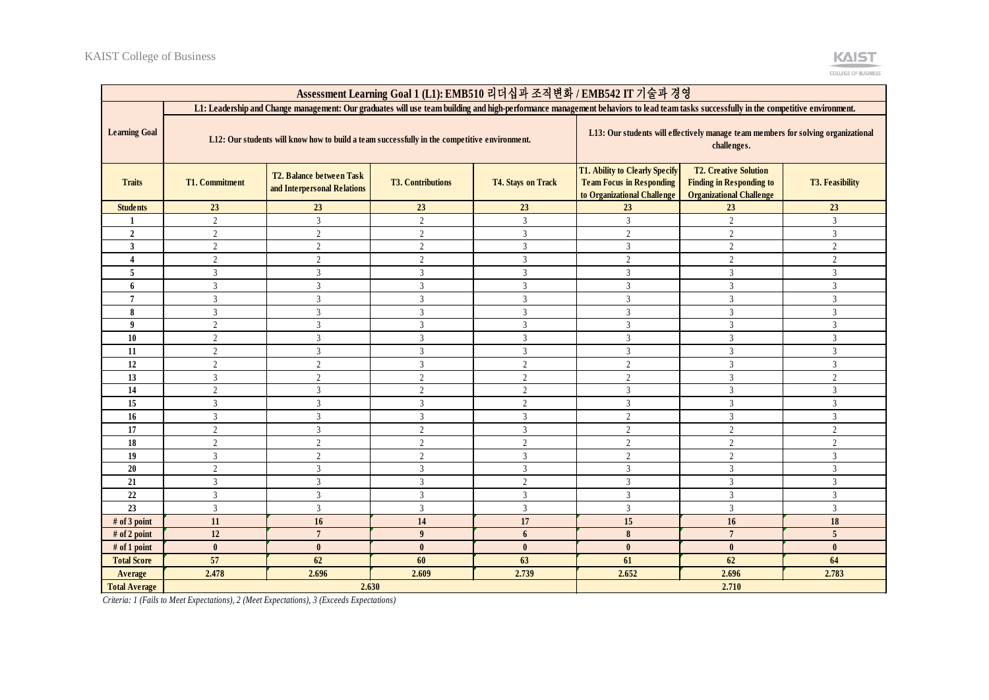| Assessment Learning Goal 1 (L1): EMB510 리더십과 조직변화 / EMB542 IT 기술과 경영                                                                                                                 |                                                                                              |                                                         |                          |                           |                                                                                                  |                                                                                                    |                        |  |
|--------------------------------------------------------------------------------------------------------------------------------------------------------------------------------------|----------------------------------------------------------------------------------------------|---------------------------------------------------------|--------------------------|---------------------------|--------------------------------------------------------------------------------------------------|----------------------------------------------------------------------------------------------------|------------------------|--|
| L1: Leadership and Change management: Our graduates will use team building and high-performance management behaviors to lead team tasks successfully in the competitive environment. |                                                                                              |                                                         |                          |                           |                                                                                                  |                                                                                                    |                        |  |
| <b>Learning Goal</b>                                                                                                                                                                 | L12: Our students will know how to build a team successfully in the competitive environment. |                                                         |                          |                           |                                                                                                  | L13: Our students will effectively manage team members for solving organizational<br>challenges.   |                        |  |
| <b>Traits</b>                                                                                                                                                                        | <b>T1. Commitment</b>                                                                        | T2. Balance between Task<br>and Interpersonal Relations | <b>T3. Contributions</b> | <b>T4. Stays on Track</b> | T1. Ability to Clearly Specify<br><b>Team Focus in Responding</b><br>to Organizational Challenge | <b>T2. Creative Solution</b><br><b>Finding in Responding to</b><br><b>Organizational Challenge</b> | <b>T3. Feasibility</b> |  |
| <b>Students</b>                                                                                                                                                                      | 23                                                                                           | 23                                                      | 23                       | 23                        | 23                                                                                               | 23                                                                                                 | 23                     |  |
| 1                                                                                                                                                                                    | 2                                                                                            | $\overline{3}$                                          | $\overline{2}$           | $\overline{3}$            | $\overline{3}$                                                                                   | $\overline{2}$                                                                                     | $\overline{3}$         |  |
| $\overline{2}$                                                                                                                                                                       | $\overline{2}$                                                                               | 2                                                       | $\overline{c}$           | $\overline{3}$            | 2                                                                                                | 2                                                                                                  | 3                      |  |
| 3                                                                                                                                                                                    | 2                                                                                            | 2                                                       | 2                        | 3                         | $\overline{3}$                                                                                   | 2                                                                                                  | 2                      |  |
| 4                                                                                                                                                                                    | 2                                                                                            | $\overline{2}$                                          | $\overline{2}$           | $\overline{3}$            | 2                                                                                                | $\overline{2}$                                                                                     | 2                      |  |
| 5                                                                                                                                                                                    | 3                                                                                            | 3                                                       | $\mathfrak{Z}$           | 3                         | $\overline{3}$                                                                                   | 3                                                                                                  | 3                      |  |
| 6                                                                                                                                                                                    | 3                                                                                            | $\overline{3}$                                          | $\overline{3}$           | $\overline{3}$            | 3                                                                                                | 3                                                                                                  | 3                      |  |
| 7                                                                                                                                                                                    | 3                                                                                            | 3                                                       | 3                        | 3                         | 3                                                                                                | 3                                                                                                  | 3                      |  |
| 8                                                                                                                                                                                    | 3                                                                                            | 3                                                       | 3                        | $\overline{3}$            | 3                                                                                                | $\overline{3}$                                                                                     | 3                      |  |
| 9                                                                                                                                                                                    | 2                                                                                            | 3                                                       | 3                        | $\overline{3}$            | $\overline{3}$                                                                                   | $\overline{3}$                                                                                     | 3                      |  |
| 10                                                                                                                                                                                   | $\overline{2}$                                                                               | $\overline{3}$                                          | $\overline{3}$           | $\overline{3}$            | $\overline{3}$                                                                                   | $\overline{3}$                                                                                     | $\overline{3}$         |  |
| 11                                                                                                                                                                                   | $\overline{2}$                                                                               | $\overline{3}$                                          | $\mathfrak{Z}$           | $\overline{3}$            | $\overline{3}$                                                                                   | $\overline{3}$                                                                                     | $\overline{3}$         |  |
| 12                                                                                                                                                                                   | $\overline{2}$                                                                               | $\overline{2}$                                          | $\overline{3}$           | $\overline{2}$            | $\overline{2}$                                                                                   | $\overline{3}$                                                                                     | 3                      |  |
| 13                                                                                                                                                                                   | $\overline{3}$                                                                               | 2                                                       | $\overline{2}$           | $\overline{2}$            | 2                                                                                                | $\overline{3}$                                                                                     | 2                      |  |
| 14                                                                                                                                                                                   | 2                                                                                            | $\overline{3}$                                          | $\overline{2}$           | $\overline{2}$            | $\overline{3}$                                                                                   | $\overline{3}$                                                                                     | 3                      |  |
| 15                                                                                                                                                                                   | $\overline{3}$                                                                               | $\overline{3}$                                          | $\overline{3}$           | $\overline{2}$            | $\overline{3}$                                                                                   | $\overline{3}$                                                                                     | 3                      |  |
| 16                                                                                                                                                                                   | $\overline{3}$                                                                               | 3                                                       | $\overline{3}$           | $\overline{3}$            | $\overline{2}$                                                                                   | $\overline{3}$                                                                                     | 3                      |  |
| 17                                                                                                                                                                                   | 2                                                                                            | $\overline{3}$                                          | $\overline{2}$           | $\mathfrak{Z}$            | $\overline{2}$                                                                                   | $\overline{2}$                                                                                     | $\overline{2}$         |  |
| 18                                                                                                                                                                                   | 2                                                                                            | $\overline{2}$                                          | $\overline{2}$           | $\overline{2}$            | $\overline{2}$                                                                                   | $\overline{c}$                                                                                     | $\overline{2}$         |  |
| 19                                                                                                                                                                                   | $\mathfrak{Z}$                                                                               | $\overline{c}$                                          | $\overline{2}$           | 3                         | $\overline{2}$                                                                                   | $\overline{c}$                                                                                     | $\mathfrak{Z}$         |  |
| 20                                                                                                                                                                                   | $\overline{2}$                                                                               | $\overline{3}$                                          | $\overline{3}$           | 3                         | 3                                                                                                | 3                                                                                                  | $\mathfrak{Z}$         |  |
| 21                                                                                                                                                                                   | $\overline{3}$                                                                               | $\overline{3}$                                          | $\overline{3}$           | $\sqrt{2}$                | $\overline{3}$                                                                                   | $\overline{3}$                                                                                     | 3                      |  |
| 22                                                                                                                                                                                   | $\overline{3}$                                                                               | $\overline{3}$                                          | $\overline{3}$           | $\overline{3}$            | $\overline{3}$                                                                                   | $\overline{3}$                                                                                     | $\overline{3}$         |  |
| 23                                                                                                                                                                                   | $\overline{3}$                                                                               | $\overline{3}$                                          | $\mathfrak{Z}$           | $\mathfrak{Z}$            | $\overline{3}$                                                                                   | $\overline{3}$                                                                                     | $\overline{3}$         |  |
| # of 3 point                                                                                                                                                                         | 11                                                                                           | 16                                                      | 14                       | 17                        | 15                                                                                               | 16                                                                                                 | 18                     |  |
| # of 2 point                                                                                                                                                                         | 12                                                                                           | $\overline{7}$                                          | $\boldsymbol{9}$         | $\boldsymbol{6}$          | $\pmb{8}$                                                                                        | $\overline{7}$                                                                                     | 5                      |  |
| # of 1 point                                                                                                                                                                         | $\mathbf{0}$                                                                                 | $\mathbf{0}$                                            | $\bf{0}$                 | $\mathbf{0}$              | $\mathbf{0}$                                                                                     | $\mathbf{0}$                                                                                       | $\mathbf{0}$           |  |
| <b>Total Score</b>                                                                                                                                                                   | 57                                                                                           | 62                                                      | 60                       | 63                        | 61                                                                                               | 62                                                                                                 | 64                     |  |
| Average                                                                                                                                                                              | 2.478                                                                                        | 2.696                                                   | 2.609                    | 2.739                     | 2.652                                                                                            | 2.696                                                                                              | 2.783                  |  |
| <b>Total Average</b>                                                                                                                                                                 |                                                                                              | 2.630                                                   |                          |                           | 2.710                                                                                            |                                                                                                    |                        |  |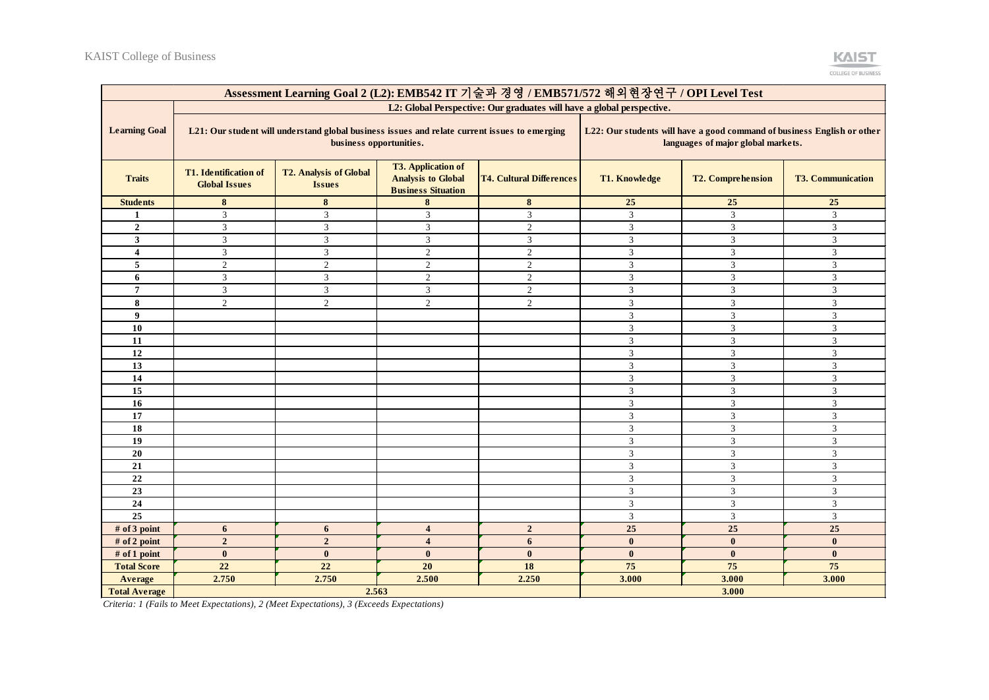|                         | Assessment Learning Goal 2 (L2): EMB542 IT 기술과 경영 / EMB571/572 해외현장연구 / OPI Level Test                                   |                                                |                                                                                     |                                 |                      |                                                                                                               |                          |  |
|-------------------------|--------------------------------------------------------------------------------------------------------------------------|------------------------------------------------|-------------------------------------------------------------------------------------|---------------------------------|----------------------|---------------------------------------------------------------------------------------------------------------|--------------------------|--|
|                         | L2: Global Perspective: Our graduates will have a global perspective.                                                    |                                                |                                                                                     |                                 |                      |                                                                                                               |                          |  |
| <b>Learning Goal</b>    | L21: Our student will understand global business issues and relate current issues to emerging<br>business opportunities. |                                                |                                                                                     |                                 |                      | L22: Our students will have a good command of business English or other<br>languages of major global markets. |                          |  |
| <b>Traits</b>           | <b>T1.</b> Identification of<br><b>Global Issues</b>                                                                     | <b>T2. Analysis of Global</b><br><b>Issues</b> | <b>T3. Application of</b><br><b>Analysis to Global</b><br><b>Business Situation</b> | <b>T4. Cultural Differences</b> | <b>T1. Knowledge</b> | <b>T2. Comprehension</b>                                                                                      | <b>T3. Communication</b> |  |
| <b>Students</b>         | 8                                                                                                                        | 8                                              | 8                                                                                   | 8                               | 25                   | 25                                                                                                            | 25                       |  |
| 1                       | 3                                                                                                                        | 3                                              | 3                                                                                   | $\overline{3}$                  | 3                    | 3                                                                                                             | 3                        |  |
| $\overline{2}$          | $\mathbf{3}$                                                                                                             | $\mathfrak{Z}$                                 | 3                                                                                   | $\overline{2}$                  | $\mathfrak{Z}$       | $\mathfrak{Z}$                                                                                                | $\overline{\mathbf{3}}$  |  |
| $\mathbf{3}$            | 3                                                                                                                        | $\overline{3}$                                 | 3                                                                                   | $\mathfrak{Z}$                  | $\mathfrak{Z}$       | $\mathfrak{Z}$                                                                                                | 3                        |  |
| $\overline{\mathbf{4}}$ | 3                                                                                                                        | 3                                              | $\overline{c}$                                                                      | $\overline{2}$                  | $\overline{3}$       | 3                                                                                                             | 3                        |  |
| 5                       | 2                                                                                                                        | $\overline{2}$                                 | $\mathfrak{2}$                                                                      | 2                               | 3                    | 3                                                                                                             | 3                        |  |
| 6                       | 3                                                                                                                        | $\overline{3}$                                 | $\overline{2}$                                                                      | $\overline{2}$                  | $\overline{3}$       | $\mathfrak{Z}$                                                                                                | $\mathfrak{Z}$           |  |
| $\overline{7}$          | $\overline{3}$                                                                                                           | 3                                              | 3                                                                                   | $\overline{2}$                  | $\overline{3}$       | $\mathbf{3}$                                                                                                  | $\overline{3}$           |  |
| 8                       | 2                                                                                                                        | $\overline{2}$                                 | 2                                                                                   | $\overline{2}$                  | 3                    | 3                                                                                                             | 3                        |  |
| $\boldsymbol{9}$        |                                                                                                                          |                                                |                                                                                     |                                 | $\mathfrak{Z}$       | $\mathfrak{Z}$                                                                                                | 3                        |  |
| 10                      |                                                                                                                          |                                                |                                                                                     |                                 | $\overline{3}$       | 3                                                                                                             | $\overline{3}$           |  |
| 11                      |                                                                                                                          |                                                |                                                                                     |                                 | 3                    | 3                                                                                                             | 3                        |  |
| 12                      |                                                                                                                          |                                                |                                                                                     |                                 | 3                    | $\mathfrak{Z}$                                                                                                | $\overline{3}$           |  |
| 13                      |                                                                                                                          |                                                |                                                                                     |                                 | $\mathfrak{Z}$       | $\mathfrak{Z}$                                                                                                | $\overline{3}$           |  |
| 14                      |                                                                                                                          |                                                |                                                                                     |                                 | $\overline{3}$       | $\mathfrak{Z}$                                                                                                | $\overline{3}$           |  |
| 15                      |                                                                                                                          |                                                |                                                                                     |                                 | $\mathfrak{Z}$       | $\sqrt{3}$                                                                                                    | $\mathfrak{Z}$           |  |
| 16                      |                                                                                                                          |                                                |                                                                                     |                                 | $\overline{3}$       | $\mathfrak{Z}$                                                                                                | 3                        |  |
| 17                      |                                                                                                                          |                                                |                                                                                     |                                 | $\overline{3}$       | $\overline{3}$                                                                                                | $\overline{3}$           |  |
| 18                      |                                                                                                                          |                                                |                                                                                     |                                 | $\mathfrak z$        | $\mathfrak{Z}$                                                                                                | $\mathfrak{Z}$           |  |
| 19                      |                                                                                                                          |                                                |                                                                                     |                                 | $\mathfrak{Z}$       | $\mathfrak{Z}$                                                                                                | $\overline{3}$           |  |
| 20                      |                                                                                                                          |                                                |                                                                                     |                                 | $\overline{3}$       | $\mathfrak{Z}$                                                                                                | $\overline{3}$           |  |
| 21                      |                                                                                                                          |                                                |                                                                                     |                                 | $\overline{3}$       | $\mathfrak{Z}$                                                                                                | 3                        |  |
| $\bf 22$                |                                                                                                                          |                                                |                                                                                     |                                 | $\overline{3}$       | $\sqrt{3}$                                                                                                    | $\mathfrak{Z}$           |  |
| 23                      |                                                                                                                          |                                                |                                                                                     |                                 | $\overline{3}$       | 3                                                                                                             | $\mathfrak{Z}$           |  |
| 24                      |                                                                                                                          |                                                |                                                                                     |                                 | 3                    | $\overline{3}$                                                                                                | $\overline{3}$           |  |
| $\overline{25}$         |                                                                                                                          |                                                |                                                                                     |                                 | $\mathfrak z$        | $\mathfrak{Z}$                                                                                                | $\mathfrak{Z}$           |  |
| # of 3 point            | 6                                                                                                                        | 6                                              | $\overline{\mathbf{4}}$                                                             | $\overline{2}$                  | 25                   | 25                                                                                                            | 25                       |  |
| # of 2 point            | $\overline{2}$                                                                                                           | $\overline{2}$                                 | $\overline{\mathbf{4}}$                                                             | 6                               | $\mathbf{0}$         | $\mathbf{0}$                                                                                                  | $\mathbf{0}$             |  |
| # of 1 point            | $\mathbf{0}$                                                                                                             | $\bf{0}$                                       | $\mathbf{0}$                                                                        | $\bf{0}$                        | $\bf{0}$             | $\bf{0}$                                                                                                      | $\bf{0}$                 |  |
| <b>Total Score</b>      | 22                                                                                                                       | 22                                             | 20                                                                                  | 18                              | 75                   | 75                                                                                                            | 75                       |  |
| Average                 | 2.750                                                                                                                    | 2.750                                          | 2.500                                                                               | 2.250                           | 3.000                | 3.000                                                                                                         | 3.000                    |  |
| <b>Total Average</b>    |                                                                                                                          | 2.563                                          |                                                                                     |                                 |                      | 3.000                                                                                                         |                          |  |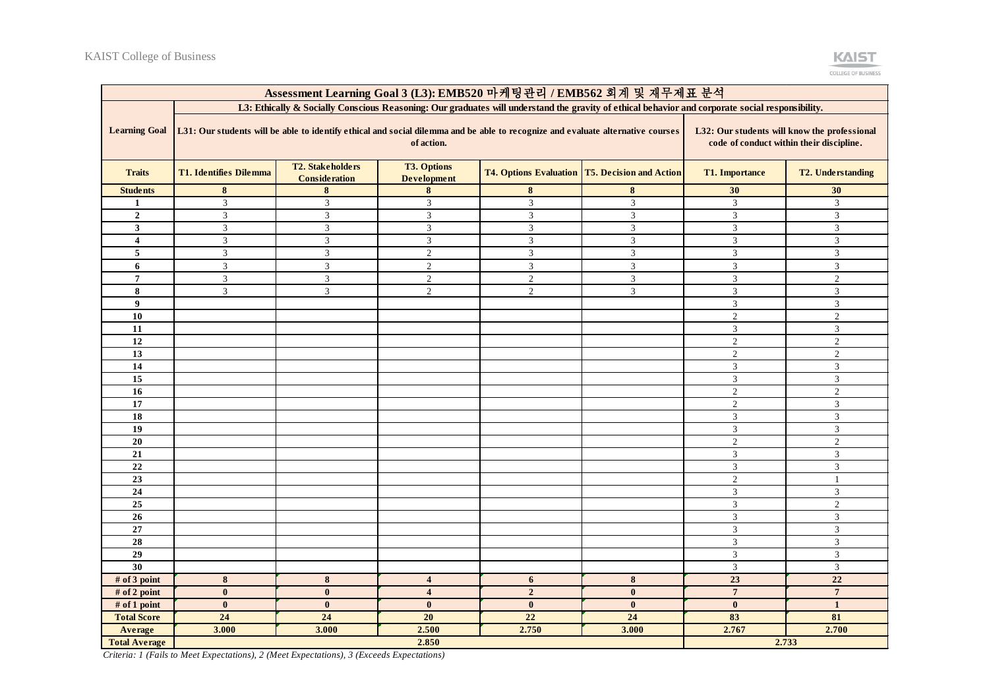

| Assessment Learning Goal 3 (L3): EMB520 마케팅관리 / EMB562 회계 및 재무제표 분석 |                                                                                                                                                                                                                                           |                                                 |                                          |                |                                                       |                           |                             |
|---------------------------------------------------------------------|-------------------------------------------------------------------------------------------------------------------------------------------------------------------------------------------------------------------------------------------|-------------------------------------------------|------------------------------------------|----------------|-------------------------------------------------------|---------------------------|-----------------------------|
|                                                                     | L3: Ethically & Socially Conscious Reasoning: Our graduates will understand the gravity of ethical behavior and corporate social responsibility.                                                                                          |                                                 |                                          |                |                                                       |                           |                             |
| <b>Learning Goal</b>                                                | L31: Our students will be able to identify ethical and social dilemma and be able to recognize and evaluate alternative courses<br>L32: Our students will know the professional<br>of action.<br>code of conduct within their discipline. |                                                 |                                          |                |                                                       |                           |                             |
| <b>Traits</b>                                                       | <b>T1. Identifies Dilemma</b>                                                                                                                                                                                                             | <b>T2. Stakeholders</b><br><b>Consideration</b> | <b>T3. Options</b><br><b>Development</b> |                | <b>T4. Options Evaluation T5. Decision and Action</b> | <b>T1. Importance</b>     | <b>T2. Understanding</b>    |
| <b>Students</b>                                                     | 8                                                                                                                                                                                                                                         | 8                                               | 8                                        | 8              | 8                                                     | 30                        | 30                          |
| $\mathbf{1}$                                                        | $\overline{3}$                                                                                                                                                                                                                            | 3                                               | $\overline{3}$                           | $\mathfrak{Z}$ | $\mathfrak{Z}$                                        | $\mathfrak{Z}$            | $\overline{3}$              |
| $\overline{2}$                                                      | 3                                                                                                                                                                                                                                         | 3                                               | 3                                        | 3              | 3                                                     | 3                         | 3                           |
| 3                                                                   | 3                                                                                                                                                                                                                                         | 3                                               | $\mathfrak{Z}$                           | $\mathfrak{Z}$ | $\overline{3}$                                        | $\boldsymbol{\mathsf{3}}$ | $\mathfrak{Z}$              |
| $\overline{\mathbf{4}}$                                             | 3                                                                                                                                                                                                                                         | $\mathfrak{Z}$                                  | $\mathfrak{Z}$                           | $\sqrt{3}$     | $\mathfrak{Z}$                                        | $\mathfrak{Z}$            | 3                           |
| 5                                                                   | $\mathfrak{Z}$                                                                                                                                                                                                                            | $\ensuremath{\mathfrak{Z}}$                     | $\boldsymbol{2}$                         | $\mathfrak{Z}$ | $\mathfrak{Z}$                                        | $\mathfrak{Z}$            | $\mathfrak{Z}$              |
| 6                                                                   | $\overline{3}$                                                                                                                                                                                                                            | $\mathbf{3}$                                    | $\overline{2}$                           | $\mathfrak{Z}$ | $\mathfrak{Z}$                                        | 3                         | $\overline{3}$              |
| $\overline{7}$                                                      | $\mathfrak{Z}$                                                                                                                                                                                                                            | $\mathfrak{Z}$                                  | $\overline{2}$                           | $\overline{c}$ | 3                                                     | $\mathfrak{Z}$            | $\overline{2}$              |
| 8                                                                   | 3                                                                                                                                                                                                                                         | 3                                               | $\overline{2}$                           | $\overline{c}$ | $\mathfrak{Z}$                                        | $\mathfrak{Z}$            | $\mathfrak{Z}$              |
| 9                                                                   |                                                                                                                                                                                                                                           |                                                 |                                          |                |                                                       | 3                         | $\overline{3}$              |
| 10                                                                  |                                                                                                                                                                                                                                           |                                                 |                                          |                |                                                       | $\mathbf{2}$              | $\overline{2}$              |
| 11                                                                  |                                                                                                                                                                                                                                           |                                                 |                                          |                |                                                       | 3                         | 3                           |
| 12                                                                  |                                                                                                                                                                                                                                           |                                                 |                                          |                |                                                       | $\overline{2}$            | $\overline{2}$              |
| 13                                                                  |                                                                                                                                                                                                                                           |                                                 |                                          |                |                                                       | $\overline{2}$            | $\overline{2}$              |
| 14                                                                  |                                                                                                                                                                                                                                           |                                                 |                                          |                |                                                       | $\mathfrak{Z}$            | 3                           |
| $\overline{15}$                                                     |                                                                                                                                                                                                                                           |                                                 |                                          |                |                                                       | $\mathfrak{Z}$            | $\mathfrak{Z}$              |
| 16                                                                  |                                                                                                                                                                                                                                           |                                                 |                                          |                |                                                       | $\sqrt{2}$                | $\overline{2}$              |
| 17                                                                  |                                                                                                                                                                                                                                           |                                                 |                                          |                |                                                       | $\overline{2}$            | $\ensuremath{\mathfrak{Z}}$ |
| $\overline{18}$                                                     |                                                                                                                                                                                                                                           |                                                 |                                          |                |                                                       | $\mathfrak{Z}$            | $\mathfrak{Z}$              |
| 19                                                                  |                                                                                                                                                                                                                                           |                                                 |                                          |                |                                                       | 3                         | 3                           |
| 20                                                                  |                                                                                                                                                                                                                                           |                                                 |                                          |                |                                                       | $\overline{2}$            | $\overline{2}$              |
| 21                                                                  |                                                                                                                                                                                                                                           |                                                 |                                          |                |                                                       | $\mathfrak{Z}$            | $\overline{3}$              |
| 22                                                                  |                                                                                                                                                                                                                                           |                                                 |                                          |                |                                                       | 3                         | 3                           |
| 23                                                                  |                                                                                                                                                                                                                                           |                                                 |                                          |                |                                                       | $\overline{2}$            | $\overline{1}$              |
| 24                                                                  |                                                                                                                                                                                                                                           |                                                 |                                          |                |                                                       | 3                         | $\overline{3}$              |
| 25                                                                  |                                                                                                                                                                                                                                           |                                                 |                                          |                |                                                       | $\ensuremath{\mathbf{3}}$ | $\sqrt{2}$                  |
| 26                                                                  |                                                                                                                                                                                                                                           |                                                 |                                          |                |                                                       | $\boldsymbol{\mathsf{3}}$ | $\overline{3}$              |
| 27                                                                  |                                                                                                                                                                                                                                           |                                                 |                                          |                |                                                       | $\mathfrak{Z}$            | $\mathfrak{Z}$              |
| 28                                                                  |                                                                                                                                                                                                                                           |                                                 |                                          |                |                                                       | $\boldsymbol{\mathsf{3}}$ | $\ensuremath{\mathfrak{Z}}$ |
| 29                                                                  |                                                                                                                                                                                                                                           |                                                 |                                          |                |                                                       | $\mathfrak{Z}$            | $\mathfrak{Z}$              |
| 30                                                                  |                                                                                                                                                                                                                                           |                                                 |                                          |                |                                                       | 3                         | 3                           |
| # of 3 point                                                        | 8                                                                                                                                                                                                                                         | 8                                               | $\overline{\mathbf{4}}$                  | 6              | 8                                                     | 23                        | 22                          |
| # of 2 point                                                        | $\bf{0}$                                                                                                                                                                                                                                  | $\bf{0}$                                        | $\overline{\mathbf{4}}$                  | $\overline{2}$ | $\bf{0}$                                              | $\overline{7}$            | $\overline{7}$              |
| # of 1 point                                                        | $\mathbf{0}$                                                                                                                                                                                                                              | $\mathbf{0}$                                    | $\mathbf{0}$                             | $\mathbf{0}$   | $\bf{0}$                                              | $\bf{0}$                  | $\mathbf{1}$                |
| <b>Total Score</b>                                                  | 24                                                                                                                                                                                                                                        | 24                                              | 20                                       | 22             | 24                                                    | 83                        | 81                          |
| Average                                                             | 3.000                                                                                                                                                                                                                                     | 3.000                                           | 2.500                                    | 2.750          | 3.000                                                 | 2.767                     | 2.700                       |
| <b>Total Average</b>                                                |                                                                                                                                                                                                                                           |                                                 | 2.850                                    |                |                                                       |                           | 2.733                       |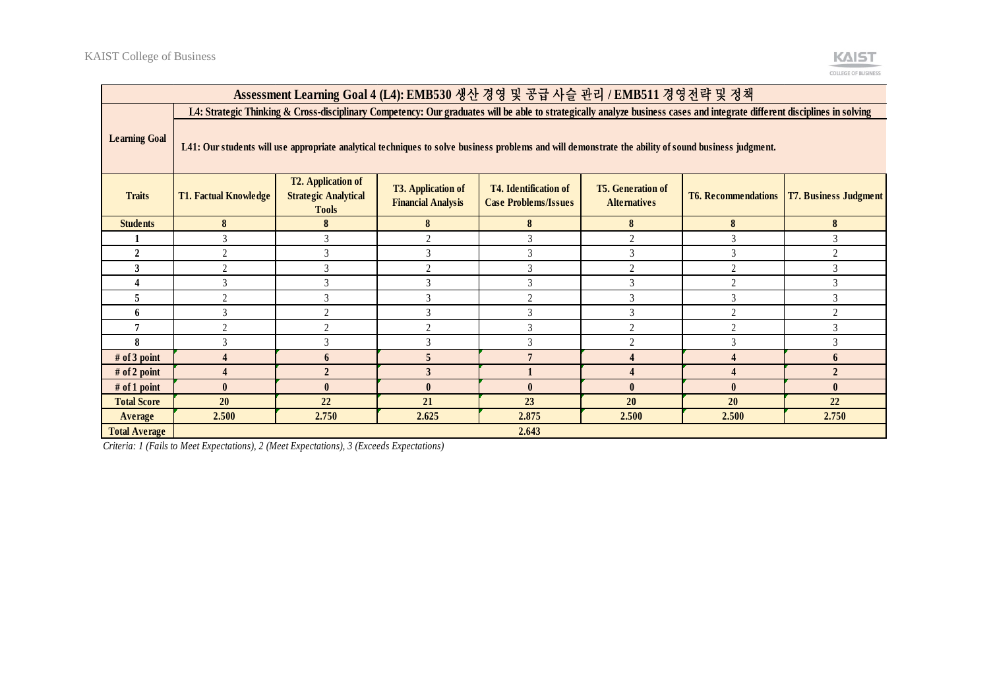

| Assessment Learning Goal 4 (L4): EMB530 생산 경영 및 공급 사슬 관리 / EMB511 경영전략 및 정책 |                                                                                                                                                                           |                                                                          |                                                        |                                                             |                                                 |                            |                              |  |
|-----------------------------------------------------------------------------|---------------------------------------------------------------------------------------------------------------------------------------------------------------------------|--------------------------------------------------------------------------|--------------------------------------------------------|-------------------------------------------------------------|-------------------------------------------------|----------------------------|------------------------------|--|
|                                                                             | L4: Strategic Thinking & Cross-disciplinary Competency: Our graduates will be able to strategically analyze business cases and integrate different disciplines in solving |                                                                          |                                                        |                                                             |                                                 |                            |                              |  |
| <b>Learning Goal</b>                                                        | L41: Our students will use appropriate analytical techniques to solve business problems and will demonstrate the ability of sound business judgment.                      |                                                                          |                                                        |                                                             |                                                 |                            |                              |  |
| <b>Traits</b>                                                               | <b>T1. Factual Knowledge</b>                                                                                                                                              | <b>T2. Application of</b><br><b>Strategic Analytical</b><br><b>Tools</b> | <b>T3. Application of</b><br><b>Financial Analysis</b> | <b>T4. Identification of</b><br><b>Case Problems/Issues</b> | <b>T5.</b> Generation of<br><b>Alternatives</b> | <b>T6. Recommendations</b> | <b>T7. Business Judgment</b> |  |
| <b>Students</b>                                                             | 8                                                                                                                                                                         | 8                                                                        | 8                                                      | 8                                                           | 8                                               | 8                          | 8                            |  |
|                                                                             | 3                                                                                                                                                                         |                                                                          | $\bigcap$                                              | 3                                                           | $\overline{2}$                                  | 3                          | 3                            |  |
| $\mathbf{2}$                                                                | 2                                                                                                                                                                         |                                                                          |                                                        |                                                             | 3                                               | 3                          | $\mathfrak{D}$               |  |
| 3                                                                           | $\overline{2}$                                                                                                                                                            |                                                                          | $\bigcap$                                              | 3                                                           | $\overline{2}$                                  | $\overline{2}$             | 3                            |  |
|                                                                             | 3                                                                                                                                                                         | 3                                                                        |                                                        | 3                                                           | 3                                               | $\overline{2}$             | 3                            |  |
| 5                                                                           | $\overline{2}$                                                                                                                                                            |                                                                          |                                                        | $\gamma$                                                    | 3                                               | 3                          | 3                            |  |
| 6                                                                           | 3                                                                                                                                                                         | $\mathfrak{D}$                                                           | 3                                                      | 3                                                           | $\mathfrak{Z}$                                  | $\overline{2}$             | $\overline{2}$               |  |
|                                                                             | $\overline{2}$                                                                                                                                                            | C                                                                        | $\mathcal{L}$                                          | 3                                                           | $\overline{2}$                                  | $\overline{2}$             | 3                            |  |
| 8                                                                           | 3                                                                                                                                                                         | 3                                                                        |                                                        | 3                                                           | $\overline{2}$                                  | 3                          | 3                            |  |
| # of 3 point                                                                |                                                                                                                                                                           | 6                                                                        |                                                        |                                                             | $\overline{\mathbf{4}}$                         | 4                          | 6                            |  |
| # of 2 point                                                                |                                                                                                                                                                           | $\mathfrak{D}$                                                           |                                                        |                                                             | $\overline{A}$                                  |                            | $\overline{2}$               |  |
| # of 1 point                                                                | $\mathbf{0}$                                                                                                                                                              | $\mathbf{0}$                                                             | $\mathbf{0}$                                           | $\mathbf{0}$                                                | $\mathbf{0}$                                    | $\mathbf{0}$               | $\mathbf{0}$                 |  |
| <b>Total Score</b>                                                          | 20                                                                                                                                                                        | 22                                                                       | 21                                                     | 23                                                          | 20                                              | 20                         | 22                           |  |
| Average                                                                     | 2.500                                                                                                                                                                     | 2.750                                                                    | 2.625                                                  | 2.875                                                       | 2.500                                           | 2.500                      | 2.750                        |  |
| <b>Total Average</b>                                                        |                                                                                                                                                                           |                                                                          |                                                        | 2.643                                                       |                                                 |                            |                              |  |